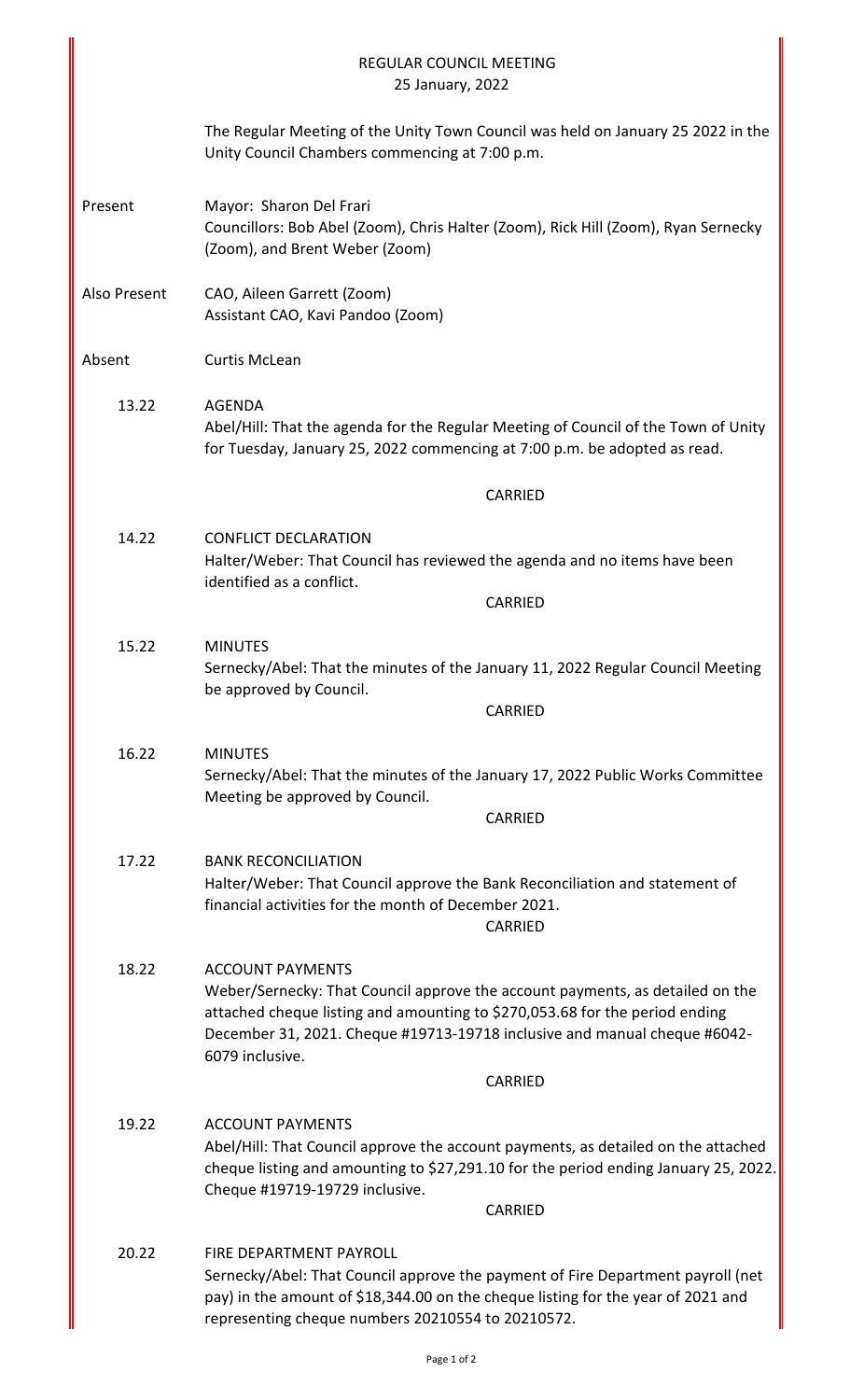|              | <b>REGULAR COUNCIL MEETING</b><br>25 January, 2022                                                                                                                                                                                                                                      |
|--------------|-----------------------------------------------------------------------------------------------------------------------------------------------------------------------------------------------------------------------------------------------------------------------------------------|
|              | The Regular Meeting of the Unity Town Council was held on January 25 2022 in the<br>Unity Council Chambers commencing at 7:00 p.m.                                                                                                                                                      |
| Present      | Mayor: Sharon Del Frari<br>Councillors: Bob Abel (Zoom), Chris Halter (Zoom), Rick Hill (Zoom), Ryan Sernecky<br>(Zoom), and Brent Weber (Zoom)                                                                                                                                         |
| Also Present | CAO, Aileen Garrett (Zoom)<br>Assistant CAO, Kavi Pandoo (Zoom)                                                                                                                                                                                                                         |
| Absent       | <b>Curtis McLean</b>                                                                                                                                                                                                                                                                    |
| 13.22        | <b>AGENDA</b><br>Abel/Hill: That the agenda for the Regular Meeting of Council of the Town of Unity<br>for Tuesday, January 25, 2022 commencing at 7:00 p.m. be adopted as read.                                                                                                        |
|              | <b>CARRIED</b>                                                                                                                                                                                                                                                                          |
| 14.22        | <b>CONFLICT DECLARATION</b><br>Halter/Weber: That Council has reviewed the agenda and no items have been<br>identified as a conflict.                                                                                                                                                   |
|              | CARRIED                                                                                                                                                                                                                                                                                 |
| 15.22        | <b>MINUTES</b><br>Sernecky/Abel: That the minutes of the January 11, 2022 Regular Council Meeting<br>be approved by Council.                                                                                                                                                            |
|              | CARRIED                                                                                                                                                                                                                                                                                 |
| 16.22        | <b>MINUTES</b><br>Sernecky/Abel: That the minutes of the January 17, 2022 Public Works Committee<br>Meeting be approved by Council.<br>CARRIED                                                                                                                                          |
| 17.22        | <b>BANK RECONCILIATION</b>                                                                                                                                                                                                                                                              |
|              | Halter/Weber: That Council approve the Bank Reconciliation and statement of<br>financial activities for the month of December 2021.<br>CARRIED                                                                                                                                          |
| 18.22        | <b>ACCOUNT PAYMENTS</b><br>Weber/Sernecky: That Council approve the account payments, as detailed on the<br>attached cheque listing and amounting to \$270,053.68 for the period ending<br>December 31, 2021. Cheque #19713-19718 inclusive and manual cheque #6042-<br>6079 inclusive. |
|              | CARRIED                                                                                                                                                                                                                                                                                 |
| 19.22        | <b>ACCOUNT PAYMENTS</b><br>Abel/Hill: That Council approve the account payments, as detailed on the attached<br>cheque listing and amounting to \$27,291.10 for the period ending January 25, 2022.<br>Cheque #19719-19729 inclusive.<br>CARRIED                                        |
|              |                                                                                                                                                                                                                                                                                         |
| 20.22        | <b>FIRE DEPARTMENT PAYROLL</b><br>Sernecky/Abel: That Council approve the payment of Fire Department payroll (net<br>pay) in the amount of \$18,344.00 on the cheque listing for the year of 2021 and<br>representing cheque numbers 20210554 to 20210572.                              |